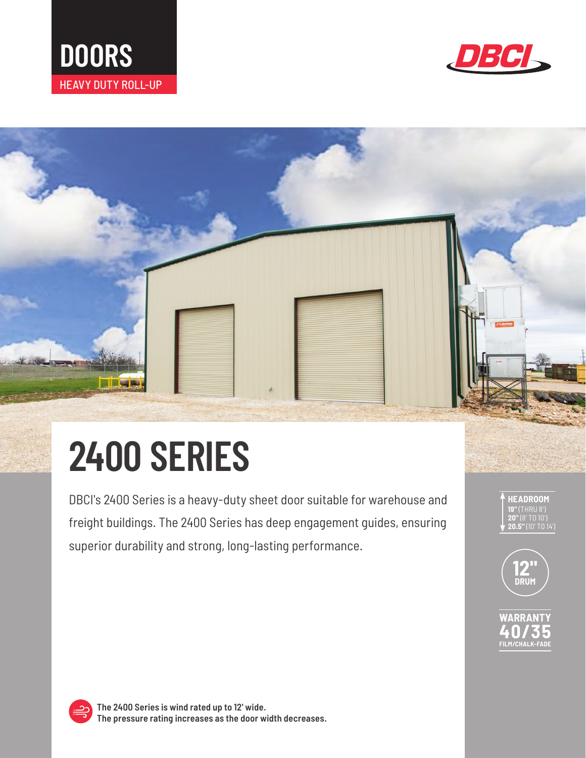



# **2400 SERIES**

DBCI's 2400 Series is a heavy-duty sheet door suitable for warehouse and freight buildings. The 2400 Series has deep engagement guides, ensuring superior durability and strong, long-lasting performance.





**FILM/CHALK-FADE**



**The 2400 Series is wind rated up to 12' wide. The pressure rating increases as the door width decreases.**